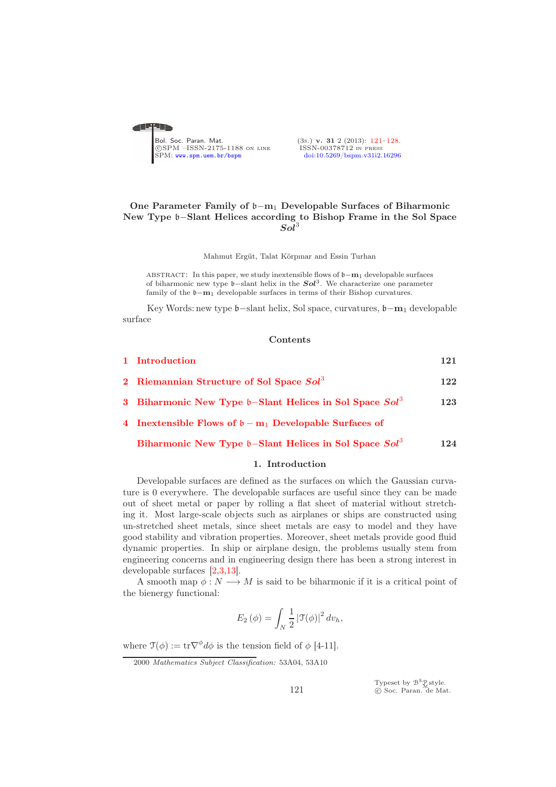<span id="page-0-0"></span>

# One Parameter Family of b−m<sup>1</sup> Developable Surfaces of Biharmonic New Type b−Slant Helices according to Bishop Frame in the Sol Space  $Sol<sup>3</sup>$

Mahmut Ergüt, Talat Körpınar and Essin Turhan

ABSTRACT: In this paper, we study inextensible flows of  $\mathfrak{b}-m_1$  developable surfaces of biharmonic new type  $\mathfrak{b}$ -slant helix in the  $\mathbf{Sol}^3$ . We characterize one parameter family of the  $\mathfrak{b}-\mathbf{m}_1$  developable surfaces in terms of their Bishop curvatures.

Key Words: new type b−slant helix, Sol space, curvatures, b−m<sup>1</sup> developable surface

#### Contents

| 1 Introduction                                                                | 121 |
|-------------------------------------------------------------------------------|-----|
| 2 Riemannian Structure of Sol Space Sol <sup>3</sup>                          | 122 |
| 3 Biharmonic New Type $\mathfrak{b}$ -Slant Helices in Sol Space $Sol^3$      | 123 |
| 4 Inextensible Flows of $\mathfrak{b} - \mathbf{m}_1$ Developable Surfaces of |     |
| Biharmonic New Type $\mathfrak{b}$ -Slant Helices in Sol Space $Sol^3$        | 124 |

#### 1. Introduction

<span id="page-0-1"></span>Developable surfaces are defined as the surfaces on which the Gaussian curvature is 0 everywhere. The developable surfaces are useful since they can be made out of sheet metal or paper by rolling a flat sheet of material without stretching it. Most large-scale objects such as airplanes or ships are constructed using un-stretched sheet metals, since sheet metals are easy to model and they have good stability and vibration properties. Moreover, sheet metals provide good fluid dynamic properties. In ship or airplane design, the problems usually stem from engineering concerns and in engineering design there has been a strong interest in developable surfaces [\[2,](#page-6-1)[3](#page-7-0)[,13\]](#page-7-1).

A smooth map  $\phi: N \longrightarrow M$  is said to be biharmonic if it is a critical point of the bienergy functional:

$$
E_2(\phi) = \int_N \frac{1}{2} |\mathfrak{T}(\phi)|^2 dv_h,
$$

where  $\mathfrak{T}(\phi) := \mathrm{tr} \nabla^{\phi} d\phi$  is the tension field of  $\phi$  [4-11].

Typeset by  $\mathcal{B}^{\mathcal{S}}_{\mathcal{M}}^{\mathcal{S}}$ style.<br>© Soc. Paran. de Mat.

<sup>2000</sup> Mathematics Subject Classification: 53A04, 53A10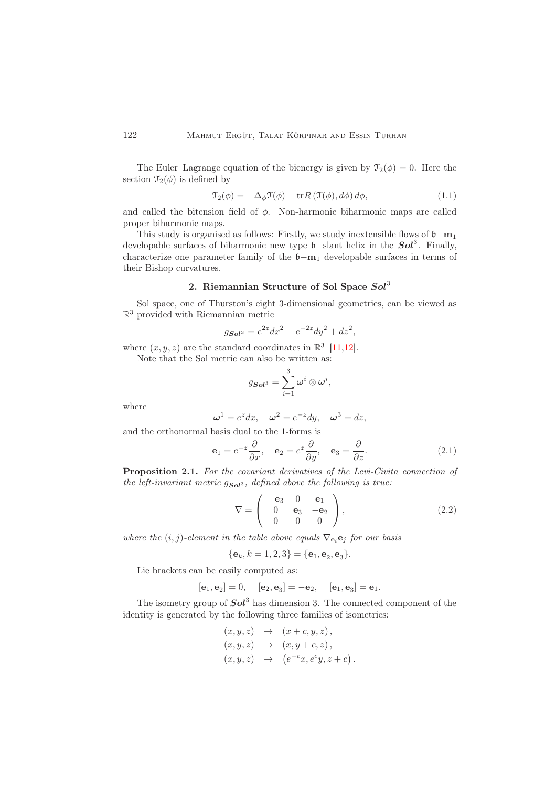The Euler–Lagrange equation of the bienergy is given by  $\mathcal{T}_2(\phi) = 0$ . Here the section  $\mathcal{T}_2(\phi)$  is defined by

$$
\mathcal{T}_{2}(\phi) = -\Delta_{\phi}\mathcal{T}(\phi) + \text{tr}R\left(\mathcal{T}(\phi), d\phi\right)d\phi, \tag{1.1}
$$

and called the bitension field of  $\phi$ . Non-harmonic biharmonic maps are called proper biharmonic maps.

This study is organised as follows: Firstly, we study inextensible flows of  $\mathfrak{b}-m_1$ developable surfaces of biharmonic new type  $\mathfrak{b}$ -slant helix in the  $\mathcal{S}ol^3$ . Finally, characterize one parameter family of the  $\mathfrak{b}-m_1$  developable surfaces in terms of their Bishop curvatures.

# 2. Riemannian Structure of Sol Space Sol<sup>3</sup>

<span id="page-1-0"></span>Sol space, one of Thurston's eight 3-dimensional geometries, can be viewed as R <sup>3</sup> provided with Riemannian metric

$$
g_{\mathbf{Sol}^3} = e^{2z} dx^2 + e^{-2z} dy^2 + dz^2,
$$

where  $(x, y, z)$  are the standard coordinates in  $\mathbb{R}^3$  [\[11](#page-7-2)[,12\]](#page-7-3).

Note that the Sol metric can also be written as:

$$
g_{\mathbf{Sol}^3} = \sum_{i=1}^3 \boldsymbol{\omega}^i \otimes \boldsymbol{\omega}^i,
$$

where

$$
\omega^1 = e^z dx, \quad \omega^2 = e^{-z} dy, \quad \omega^3 = dz,
$$

and the orthonormal basis dual to the 1-forms is

$$
\mathbf{e}_1 = e^{-z} \frac{\partial}{\partial x}, \quad \mathbf{e}_2 = e^z \frac{\partial}{\partial y}, \quad \mathbf{e}_3 = \frac{\partial}{\partial z}.
$$
 (2.1)

Proposition 2.1. For the covariant derivatives of the Levi-Civita connection of the left-invariant metric  $g_{Sol^3}$ , defined above the following is true:

$$
\nabla = \begin{pmatrix} -\mathbf{e}_3 & 0 & \mathbf{e}_1 \\ 0 & \mathbf{e}_3 & -\mathbf{e}_2 \\ 0 & 0 & 0 \end{pmatrix}, \tag{2.2}
$$

 $).$ 

where the  $(i, j)$ -element in the table above equals  $\nabla_{\mathbf{e}_i} \mathbf{e}_j$  for our basis

$$
{\bf e}_k, k = 1, 2, 3
$$
 =  ${\bf e}_1, {\bf e}_2, {\bf e}_3$ .

Lie brackets can be easily computed as:

$$
[\mathbf e_1,\mathbf e_2]=0,\quad [\mathbf e_2,\mathbf e_3]=- \mathbf e_2,\quad [\mathbf e_1,\mathbf e_3]=\mathbf e_1.
$$

The isometry group of  $Sol^3$  has dimension 3. The connected component of the identity is generated by the following three families of isometries:

$$
(x, y, z) \rightarrow (x + c, y, z),
$$
  
\n
$$
(x, y, z) \rightarrow (x, y + c, z),
$$
  
\n
$$
(x, y, z) \rightarrow (e^{-c}x, e^{c}y, z + c)
$$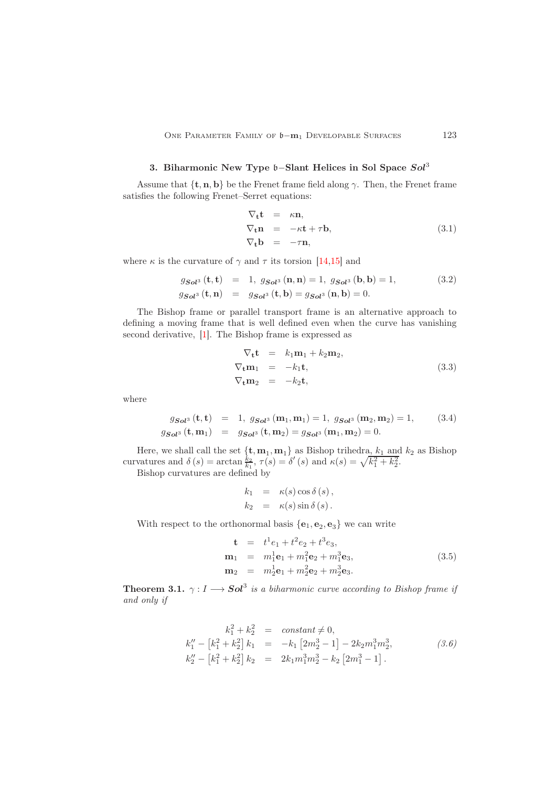# 3. Biharmonic New Type b−Slant Helices in Sol Space Sol<sup>3</sup>

<span id="page-2-0"></span>Assume that  $\{t, n, b\}$  be the Frenet frame field along  $\gamma$ . Then, the Frenet frame satisfies the following Frenet–Serret equations:

$$
\nabla_{\mathbf{t}} \mathbf{t} = \kappa \mathbf{n}, \n\nabla_{\mathbf{t}} \mathbf{n} = -\kappa \mathbf{t} + \tau \mathbf{b}, \n\nabla_{\mathbf{t}} \mathbf{b} = -\tau \mathbf{n},
$$
\n(3.1)

where  $\kappa$  is the curvature of  $\gamma$  and  $\tau$  its torsion [\[14](#page-7-4)[,15\]](#page-7-5) and

$$
g_{Sol^3}(\mathbf{t}, \mathbf{t}) = 1, g_{Sol^3}(\mathbf{n}, \mathbf{n}) = 1, g_{Sol^3}(\mathbf{b}, \mathbf{b}) = 1,
$$
  
\n
$$
g_{Sol^3}(\mathbf{t}, \mathbf{n}) = g_{Sol^3}(\mathbf{t}, \mathbf{b}) = g_{Sol^3}(\mathbf{n}, \mathbf{b}) = 0.
$$
\n(3.2)

The Bishop frame or parallel transport frame is an alternative approach to defining a moving frame that is well defined even when the curve has vanishing second derivative, [\[1\]](#page-6-2). The Bishop frame is expressed as

$$
\nabla_{\mathbf{t}} \mathbf{t} = k_1 \mathbf{m}_1 + k_2 \mathbf{m}_2,
$$
  
\n
$$
\nabla_{\mathbf{t}} \mathbf{m}_1 = -k_1 \mathbf{t},
$$
  
\n
$$
\nabla_{\mathbf{t}} \mathbf{m}_2 = -k_2 \mathbf{t},
$$
  
\n(3.3)

where

$$
g_{Sol^3}(\mathbf{t}, \mathbf{t}) = 1, g_{Sol^3}(\mathbf{m}_1, \mathbf{m}_1) = 1, g_{Sol^3}(\mathbf{m}_2, \mathbf{m}_2) = 1,
$$
 (3.4)  

$$
g_{Sol^3}(\mathbf{t}, \mathbf{m}_1) = g_{Sol^3}(\mathbf{t}, \mathbf{m}_2) = g_{Sol^3}(\mathbf{m}_1, \mathbf{m}_2) = 0.
$$

Here, we shall call the set  $\{t, m_1, m_1\}$  as Bishop trihedra,  $k_1$  and  $k_2$  as Bishop curvatures and  $\delta(s) = \arctan \frac{k_2}{k_1}, \ \tau(s) = \delta'(s)$  and  $\kappa(s) = \sqrt{k_1^2 + k_2^2}$ .

Bishop curvatures are defined by

$$
k_1 = \kappa(s) \cos \delta(s),
$$
  
\n
$$
k_2 = \kappa(s) \sin \delta(s).
$$

With respect to the orthonormal basis  $\{e_1, e_2, e_3\}$  we can write

$$
\mathbf{t} = t^1 e_1 + t^2 e_2 + t^3 e_3,
$$
  
\n
$$
\mathbf{m}_1 = m_1^1 \mathbf{e}_1 + m_1^2 \mathbf{e}_2 + m_1^3 \mathbf{e}_3,
$$
  
\n
$$
\mathbf{m}_2 = m_2^1 \mathbf{e}_1 + m_2^2 \mathbf{e}_2 + m_2^3 \mathbf{e}_3.
$$
\n(3.5)

**Theorem 3.1.**  $\gamma: I \longrightarrow Sol^3$  is a biharmonic curve according to Bishop frame if and only if

$$
k_1^2 + k_2^2 = constant \neq 0,
$$
  
\n
$$
k_1'' - [k_1^2 + k_2^2] k_1 = -k_1 [2m_2^3 - 1] - 2k_2 m_1^3 m_2^3,
$$
\n
$$
k_2'' - [k_1^2 + k_2^2] k_2 = 2k_1 m_1^3 m_2^3 - k_2 [2m_1^3 - 1].
$$
\n(3.6)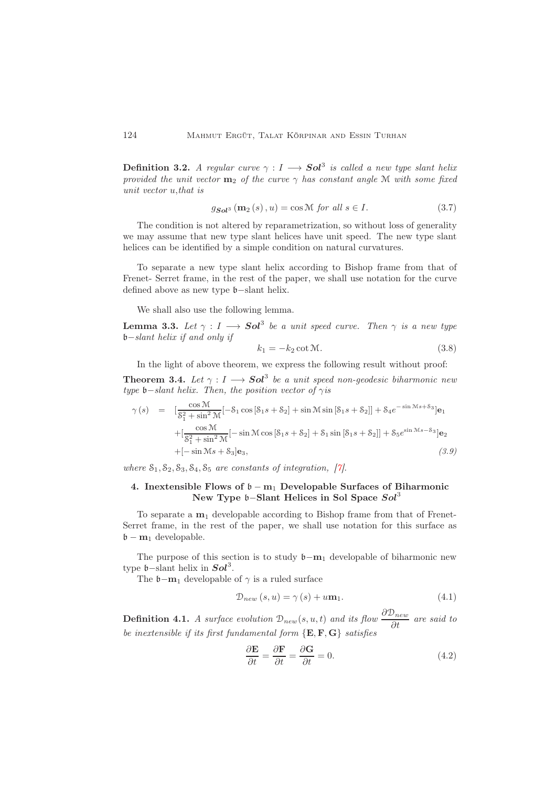**Definition 3.2.** A regular curve  $\gamma : I \longrightarrow Sol^3$  is called a new type slant helix provided the unit vector  $m_2$  of the curve  $\gamma$  has constant angle M with some fixed unit vector u,that is

$$
g_{\mathbf{Sol}^3}\left(\mathbf{m}_2\left(s\right),u\right)=\cos\mathcal{M}\text{ for all }s\in I.\tag{3.7}
$$

The condition is not altered by reparametrization, so without loss of generality we may assume that new type slant helices have unit speed. The new type slant helices can be identified by a simple condition on natural curvatures.

To separate a new type slant helix according to Bishop frame from that of Frenet- Serret frame, in the rest of the paper, we shall use notation for the curve defined above as new type b−slant helix.

We shall also use the following lemma.

**Lemma 3.3.** Let  $\gamma : I \longrightarrow Sol^3$  be a unit speed curve. Then  $\gamma$  is a new type b−slant helix if and only if

$$
k_1 = -k_2 \cot \mathcal{M}.\tag{3.8}
$$

In the light of above theorem, we express the following result without proof: **Theorem 3.4.** Let  $\gamma: I \longrightarrow Sol^3$  be a unit speed non-geodesic biharmonic new type  $\mathfrak{b}-\text{slant helix.}$  Then, the position vector of  $\gamma$  is

$$
\gamma(s) = \left[ \frac{\cos \mathcal{M}}{8_1^2 + \sin^2 \mathcal{M}} [-\mathcal{S}_1 \cos [\mathcal{S}_1 s + \mathcal{S}_2] + \sin \mathcal{M} \sin [\mathcal{S}_1 s + \mathcal{S}_2]] + \mathcal{S}_4 e^{-\sin \mathcal{M} s + \mathcal{S}_3} \right] \mathbf{e}_1
$$
  
+ 
$$
\left[ \frac{\cos \mathcal{M}}{8_1^2 + \sin^2 \mathcal{M}} [-\sin \mathcal{M} \cos [\mathcal{S}_1 s + \mathcal{S}_2] + \mathcal{S}_1 \sin [\mathcal{S}_1 s + \mathcal{S}_2]] + \mathcal{S}_5 e^{\sin \mathcal{M} s - \mathcal{S}_3} \right] \mathbf{e}_2
$$
  
+ 
$$
[-\sin \mathcal{M} s + \mathcal{S}_3] \mathbf{e}_3, \qquad (3.9)
$$

<span id="page-3-0"></span>where  $S_1, S_2, S_3, S_4, S_5$  are constants of integration, [\[7\]](#page-7-6).

# 4. Inextensible Flows of  $\mathfrak{b} - \mathfrak{m}_1$  Developable Surfaces of Biharmonic New Type b–Slant Helices in Sol Space Sol<sup>3</sup>

To separate a  $m_1$  developable according to Bishop frame from that of Frenet-Serret frame, in the rest of the paper, we shall use notation for this surface as  $\mathfrak{b} - \mathbf{m}_1$  developable.

The purpose of this section is to study  $\mathfrak{b}-m_1$  developable of biharmonic new type  $\mathfrak{b}$ -slant helix in  $Sol^3$ .

The  $\mathfrak{b}-\mathbf{m}_1$  developable of  $\gamma$  is a ruled surface

$$
\mathcal{D}_{new}(s, u) = \gamma(s) + u\mathbf{m}_1. \tag{4.1}
$$

**Definition 4.1.** A surface evolution  $\mathcal{D}_{new}(s, u, t)$  and its flow  $\frac{\partial \mathcal{D}_{new}}{\partial t}$  are said to be inextensible if its first fundamental form  $\{E, F, G\}$  satisfies

$$
\frac{\partial \mathbf{E}}{\partial t} = \frac{\partial \mathbf{F}}{\partial t} = \frac{\partial \mathbf{G}}{\partial t} = 0.
$$
 (4.2)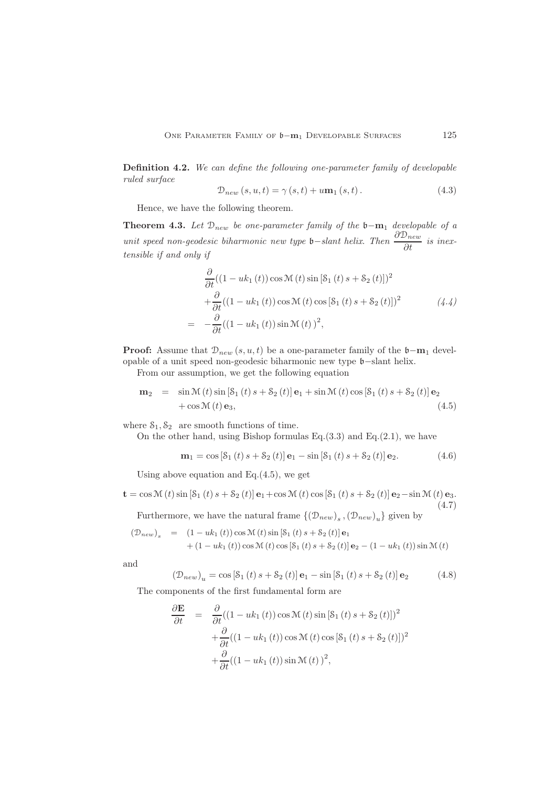Definition 4.2. We can define the following one-parameter family of developable ruled surface

$$
\mathcal{D}_{new}(s, u, t) = \gamma(s, t) + u \mathbf{m}_1(s, t).
$$
\n(4.3)

Hence, we have the following theorem.

Theorem 4.3. Let  $\mathcal{D}_{new}$  be one-parameter family of the b−m<sub>1</sub> developable of a unit speed non-geodesic biharmonic new type **b**−slant helix. Then  $\frac{\partial \mathcal{D}_{new}}{\partial t}$  is inextensible if and only if

$$
\frac{\partial}{\partial t}((1 - uk_1(t))\cos \mathcal{M}(t)\sin [\mathcal{S}_1(t)s + \mathcal{S}_2(t)])^2
$$
  
+
$$
\frac{\partial}{\partial t}((1 - uk_1(t))\cos \mathcal{M}(t)\cos [\mathcal{S}_1(t)s + \mathcal{S}_2(t)])^2
$$
  
= 
$$
-\frac{\partial}{\partial t}((1 - uk_1(t))\sin \mathcal{M}(t))^2,
$$
 (4.4)

**Proof:** Assume that  $\mathcal{D}_{new}(s, u, t)$  be a one-parameter family of the  $\mathfrak{b}-m_1$  developable of a unit speed non-geodesic biharmonic new type b−slant helix.

From our assumption, we get the following equation

$$
\mathbf{m}_2 = \sin \mathcal{M}(t) \sin \left[ \mathcal{S}_1(t) s + \mathcal{S}_2(t) \right] \mathbf{e}_1 + \sin \mathcal{M}(t) \cos \left[ \mathcal{S}_1(t) s + \mathcal{S}_2(t) \right] \mathbf{e}_2 + \cos \mathcal{M}(t) \mathbf{e}_3,
$$
\n(4.5)

where  $S_1, S_2$  are smooth functions of time.

On the other hand, using Bishop formulas  $Eq.(3.3)$  and  $Eq.(2.1)$ , we have

$$
\mathbf{m}_1 = \cos \left[ \mathbf{S}_1 \left( t \right) s + \mathbf{S}_2 \left( t \right) \right] \mathbf{e}_1 - \sin \left[ \mathbf{S}_1 \left( t \right) s + \mathbf{S}_2 \left( t \right) \right] \mathbf{e}_2. \tag{4.6}
$$

Using above equation and Eq. $(4.5)$ , we get

$$
\mathbf{t} = \cos \mathcal{M}(t) \sin \left[\mathcal{S}_1(t) s + \mathcal{S}_2(t)\right] \mathbf{e}_1 + \cos \mathcal{M}(t) \cos \left[\mathcal{S}_1(t) s + \mathcal{S}_2(t)\right] \mathbf{e}_2 - \sin \mathcal{M}(t) \mathbf{e}_3.
$$
\n
$$
\text{Furthermore, we have the natural frame } \{(\mathcal{D}_{new})_s, (\mathcal{D}_{new})_u\} \text{ given by}
$$
\n
$$
(4.7)
$$

$$
(\mathcal{D}_{new})_s = (1 - uk_1(t)) \cos \mathcal{M}(t) \sin [S_1(t) s + S_2(t)] \mathbf{e}_1 + (1 - uk_1(t)) \cos \mathcal{M}(t) \cos [S_1(t) s + S_2(t)] \mathbf{e}_2 - (1 - uk_1(t)) \sin \mathcal{M}(t)
$$

and

$$
(\mathcal{D}_{new})_u = \cos [\mathcal{S}_1(t) s + \mathcal{S}_2(t)] \mathbf{e}_1 - \sin [\mathcal{S}_1(t) s + \mathcal{S}_2(t)] \mathbf{e}_2 \tag{4.8}
$$

The components of the first fundamental form are

$$
\frac{\partial \mathbf{E}}{\partial t} = \frac{\partial}{\partial t} ((1 - uk_1(t)) \cos \mathcal{M}(t) \sin [\mathcal{S}_1(t) s + \mathcal{S}_2(t)])^2 \n+ \frac{\partial}{\partial t} ((1 - uk_1(t)) \cos \mathcal{M}(t) \cos [\mathcal{S}_1(t) s + \mathcal{S}_2(t)])^2 \n+ \frac{\partial}{\partial t} ((1 - uk_1(t)) \sin \mathcal{M}(t))^2,
$$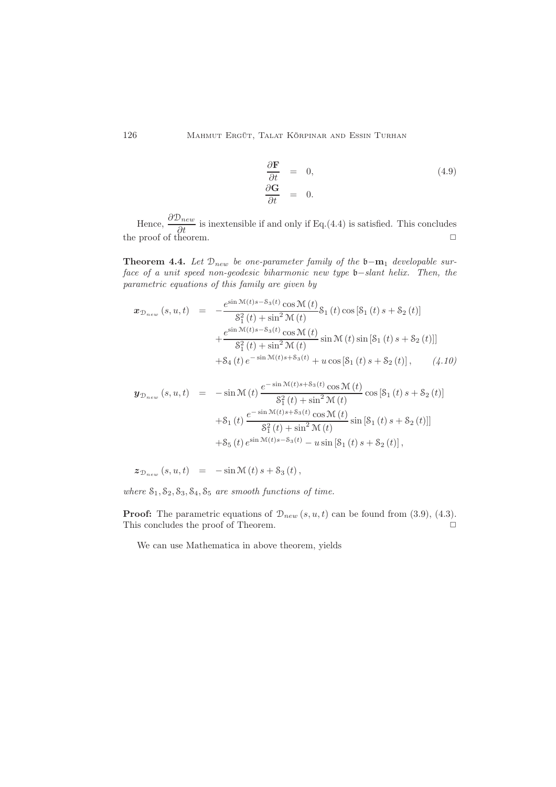$$
\begin{aligned}\n\frac{\partial \mathbf{F}}{\partial t} &= 0, \\
\frac{\partial \mathbf{G}}{\partial t} &= 0.\n\end{aligned}
$$
\n(4.9)

Hence,  $\frac{\partial \mathcal{D}_{new}}{\partial t}$  is inextensible if and only if Eq.(4.4) is satisfied. This concludes the proof of theorem.  $\Box$ 

Theorem 4.4. Let  $\mathcal{D}_{new}$  be one-parameter family of the b−m<sub>1</sub> developable surface of a unit speed non-geodesic biharmonic new type b−slant helix. Then, the parametric equations of this family are given by

$$
\mathbf{x}_{\mathcal{D}_{new}}(s, u, t) = -\frac{e^{\sin \mathcal{M}(t)s - \mathcal{S}_3(t)} \cos \mathcal{M}(t)}{\mathcal{S}_1^2(t) + \sin^2 \mathcal{M}(t)} \mathcal{S}_1(t) \cos [\mathcal{S}_1(t) s + \mathcal{S}_2(t)] \n+ \frac{e^{\sin \mathcal{M}(t)s - \mathcal{S}_3(t)} \cos \mathcal{M}(t)}{\mathcal{S}_1^2(t) + \sin^2 \mathcal{M}(t)} \sin \mathcal{M}(t) \sin [\mathcal{S}_1(t) s + \mathcal{S}_2(t)]] \n+ \mathcal{S}_4(t) e^{-\sin \mathcal{M}(t)s + \mathcal{S}_3(t)} + u \cos [\mathcal{S}_1(t) s + \mathcal{S}_2(t)], \qquad (4.10)
$$

$$
\mathbf{y}_{\mathcal{D}_{new}}(s, u, t) = -\sin \mathcal{M}(t) \frac{e^{-\sin \mathcal{M}(t)s + \mathcal{S}_3(t)} \cos \mathcal{M}(t)}{\mathcal{S}_1^2(t) + \sin^2 \mathcal{M}(t)} \cos \left[\mathcal{S}_1(t)s + \mathcal{S}_2(t)\right] \n+ \mathcal{S}_1(t) \frac{e^{-\sin \mathcal{M}(t)s + \mathcal{S}_3(t)} \cos \mathcal{M}(t)}{\mathcal{S}_1^2(t) + \sin^2 \mathcal{M}(t)} \sin \left[\mathcal{S}_1(t)s + \mathcal{S}_2(t)\right] \n+ \mathcal{S}_5(t) e^{\sin \mathcal{M}(t)s - \mathcal{S}_3(t)} - u \sin \left[\mathcal{S}_1(t)s + \mathcal{S}_2(t)\right],
$$

$$
\mathcal{Z}_{\mathcal{D}_{new}}(s, u, t) = -\sin \mathcal{M}(t) s + \mathcal{S}_3(t),
$$

where  $S_1, S_2, S_3, S_4, S_5$  are smooth functions of time.

**Proof:** The parametric equations of  $\mathcal{D}_{new}(s, u, t)$  can be found from (3.9), (4.3). This concludes the proof of Theorem.  $\Box$ 

We can use Mathematica in above theorem, yields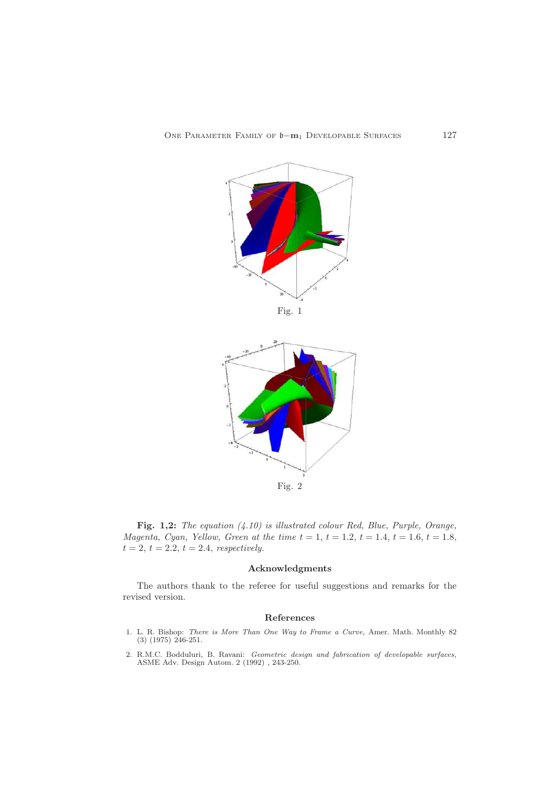

Fig. 2

Fig. 1,2: The equation (4.10) is illustrated colour Red, Blue, Purple, Orange, *Magenta, Cyan, Yellow, Green at the time t* = 1, *t* = 1.2, *t* = 1.4, *t* = 1.6, *t* = 1.8,  $t = 2, t = 2.2, t = 2.4, respectively.$ 

### Acknowledgments

The authors thank to the referee for useful suggestions and remarks for the revised version.

### <span id="page-6-0"></span>References

- <span id="page-6-2"></span>1. L. R. Bishop: There is More Than One Way to Frame a Curve, Amer. Math. Monthly 82 (3) (1975) 246-251.
- <span id="page-6-1"></span>2. R.M.C. Bodduluri, B. Ravani: Geometric design and fabrication of developable surfaces, ASME Adv. Design Autom. 2 (1992) , 243-250.